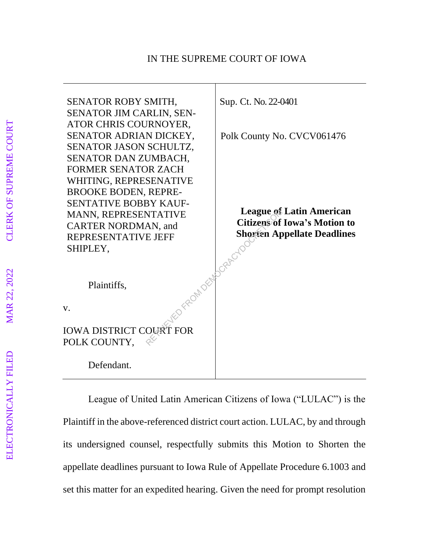

League of United Latin American Citizens of Iowa ("LULAC") is the Plaintiff in the above-referenced district court action. LULAC, by and through its undersigned counsel, respectfully submits this Motion to Shorten the appellate deadlines pursuant to Iowa Rule of Appellate Procedure 6.1003 and set this matter for an expedited hearing. Given the need for prompt resolution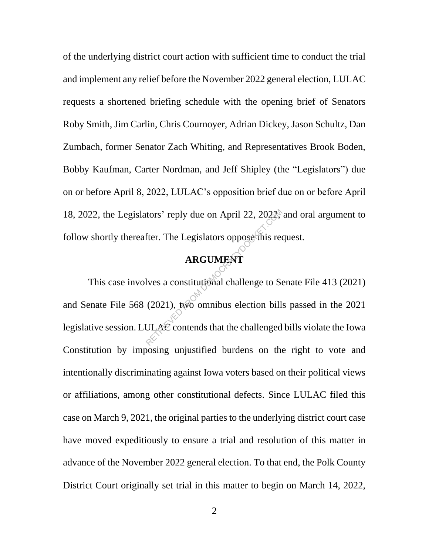of the underlying district court action with sufficient time to conduct the trial and implement any relief before the November 2022 general election, LULAC requests a shortened briefing schedule with the opening brief of Senators Roby Smith, Jim Carlin, Chris Cournoyer, Adrian Dickey, Jason Schultz, Dan Zumbach, former Senator Zach Whiting, and Representatives Brook Boden, Bobby Kaufman, Carter Nordman, and Jeff Shipley (the "Legislators") due on or before April 8, 2022, LULAC's opposition brief due on or before April 18, 2022, the Legislators' reply due on April 22, 2022, and oral argument to follow shortly thereafter. The Legislators oppose this request.

## **ARGUMENT**

This case involves a constitutional challenge to Senate File 413 (2021) and Senate File 568 (2021), two omnibus election bills passed in the 2021 legislative session. LULAC contends that the challenged bills violate the Iowa Constitution by imposing unjustified burdens on the right to vote and intentionally discriminating against Iowa voters based on their political views or affiliations, among other constitutional defects. Since LULAC filed this case on March 9, 2021, the original parties to the underlying district court case have moved expeditiously to ensure a trial and resolution of this matter in advance of the November 2022 general election. To that end, the Polk County District Court originally set trial in this matter to begin on March 14, 2022, The Legislators oppose this red<br>
REGUMENT<br>
REGUMENT<br>
Nes a constitutional challenge to Section<br>
(2021), two omnibus election bill<br>
ULAC contends that the challenged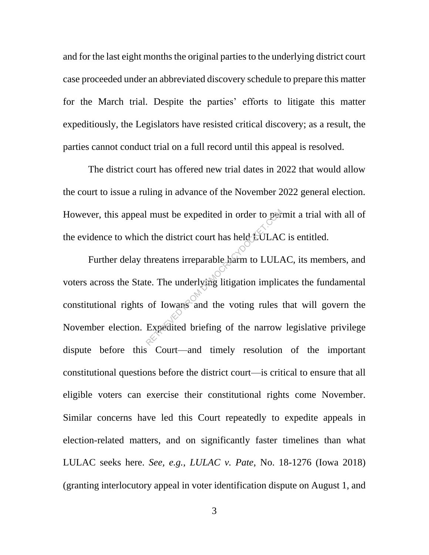and for the last eight months the original parties to the underlying district court case proceeded under an abbreviated discovery schedule to prepare this matter for the March trial. Despite the parties' efforts to litigate this matter expeditiously, the Legislators have resisted critical discovery; as a result, the parties cannot conduct trial on a full record until this appeal is resolved.

The district court has offered new trial dates in 2022 that would allow the court to issue a ruling in advance of the November 2022 general election. However, this appeal must be expedited in order to permit a trial with all of the evidence to which the district court has held LULAC is entitled.

Further delay threatens irreparable harm to LULAC, its members, and voters across the State. The underlying litigation implicates the fundamental constitutional rights of Iowans and the voting rules that will govern the November election. Expedited briefing of the narrow legislative privilege dispute before this Court—and timely resolution of the important constitutional questions before the district court—is critical to ensure that all eligible voters can exercise their constitutional rights come November. Similar concerns have led this Court repeatedly to expedite appeals in election-related matters, and on significantly faster timelines than what LULAC seeks here. *See, e.g.*, *LULAC v. Pate*, No. 18-1276 (Iowa 2018) (granting interlocutory appeal in voter identification dispute on August 1, and I must be expedited in order to per<br>
in the district court has held  $EULAC$ <br>
threatens irreparable harm to  $LULAC$ <br>
te. The underlying litigation implic<br>
of Iowans and the voting rules<br>
Expedited briefing of the narrow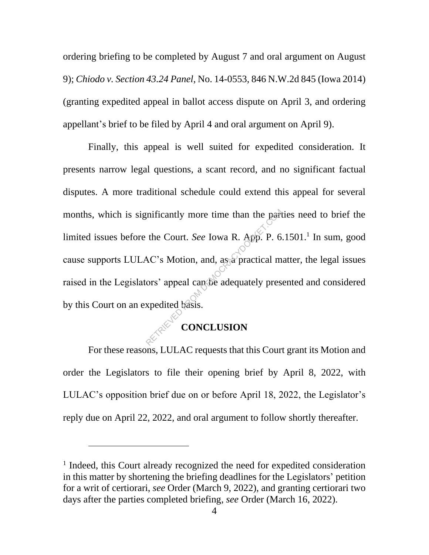ordering briefing to be completed by August 7 and oral argument on August 9); *Chiodo v. Section 43.24 Panel*, No. 14-0553, 846 N.W.2d 845 (Iowa 2014) (granting expedited appeal in ballot access dispute on April 3, and ordering appellant's brief to be filed by April 4 and oral argument on April 9).

Finally, this appeal is well suited for expedited consideration. It presents narrow legal questions, a scant record, and no significant factual disputes. A more traditional schedule could extend this appeal for several months, which is significantly more time than the parties need to brief the limited issues before the Court. *See* Iowa R. App. P. 6.1501.<sup>1</sup> In sum, good cause supports LULAC's Motion, and, as a practical matter, the legal issues raised in the Legislators' appeal can be adequately presented and considered by this Court on an expedited basis. mificantly more time than the part<br>the Court. See Iowa R. App. P. 6<br>AC's Motion, and, as a practical m<br>ors' appeal can be adequately pres<br>xpedited basis.<br>**CONCLUSION** 

## **CONCLUSION**

For these reasons, LULAC requests that this Court grant its Motion and order the Legislators to file their opening brief by April 8, 2022, with LULAC's opposition brief due on or before April 18, 2022, the Legislator's reply due on April 22, 2022, and oral argument to follow shortly thereafter.

<sup>&</sup>lt;sup>1</sup> Indeed, this Court already recognized the need for expedited consideration in this matter by shortening the briefing deadlines for the Legislators' petition for a writ of certiorari, *see* Order (March 9, 2022), and granting certiorari two days after the parties completed briefing, *see* Order (March 16, 2022).